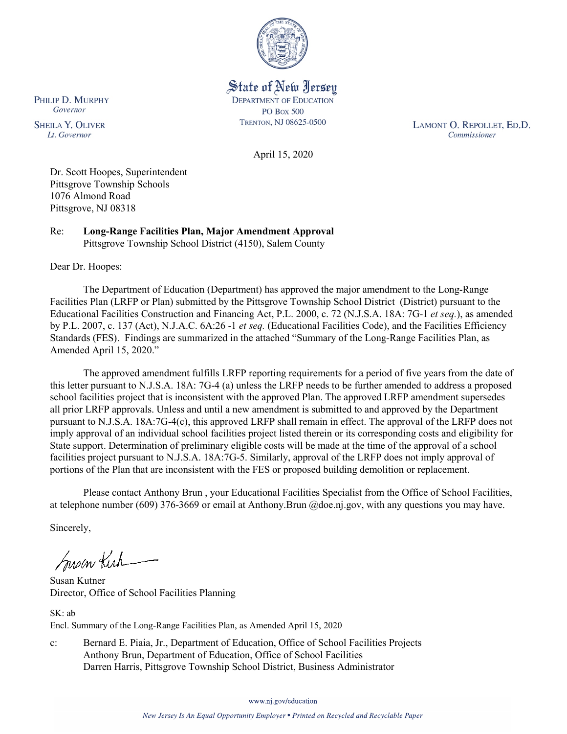

State of New Jersey **DEPARTMENT OF EDUCATION PO Box 500** TRENTON, NJ 08625-0500

LAMONT O. REPOLLET, ED.D. Commissioner

April 15, 2020

Dr. Scott Hoopes, Superintendent Pittsgrove Township Schools 1076 Almond Road Pittsgrove, NJ 08318

Re: **Long-Range Facilities Plan, Major Amendment Approval** Pittsgrove Township School District (4150), Salem County

Dear Dr. Hoopes:

PHILIP D. MURPHY Governor

**SHEILA Y. OLIVER** 

Lt. Governor

The Department of Education (Department) has approved the major amendment to the Long-Range Facilities Plan (LRFP or Plan) submitted by the Pittsgrove Township School District (District) pursuant to the Educational Facilities Construction and Financing Act, P.L. 2000, c. 72 (N.J.S.A. 18A: 7G-1 *et seq.*), as amended by P.L. 2007, c. 137 (Act), N.J.A.C. 6A:26 -1 *et seq.* (Educational Facilities Code), and the Facilities Efficiency Standards (FES). Findings are summarized in the attached "Summary of the Long-Range Facilities Plan, as Amended April 15, 2020."

The approved amendment fulfills LRFP reporting requirements for a period of five years from the date of this letter pursuant to N.J.S.A. 18A: 7G-4 (a) unless the LRFP needs to be further amended to address a proposed school facilities project that is inconsistent with the approved Plan. The approved LRFP amendment supersedes all prior LRFP approvals. Unless and until a new amendment is submitted to and approved by the Department pursuant to N.J.S.A. 18A:7G-4(c), this approved LRFP shall remain in effect. The approval of the LRFP does not imply approval of an individual school facilities project listed therein or its corresponding costs and eligibility for State support. Determination of preliminary eligible costs will be made at the time of the approval of a school facilities project pursuant to N.J.S.A. 18A:7G-5. Similarly, approval of the LRFP does not imply approval of portions of the Plan that are inconsistent with the FES or proposed building demolition or replacement.

Please contact Anthony Brun , your Educational Facilities Specialist from the Office of School Facilities, at telephone number (609) 376-3669 or email at Anthony.Brun @doe.nj.gov, with any questions you may have.

Sincerely,

Susan Kich

Susan Kutner Director, Office of School Facilities Planning

SK: ab Encl. Summary of the Long-Range Facilities Plan, as Amended April 15, 2020

c: Bernard E. Piaia, Jr., Department of Education, Office of School Facilities Projects Anthony Brun, Department of Education, Office of School Facilities Darren Harris, Pittsgrove Township School District, Business Administrator

www.nj.gov/education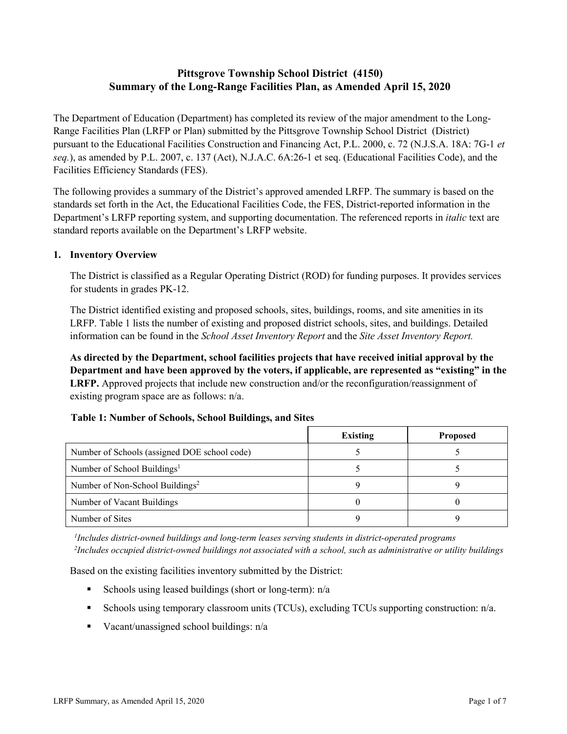# **Pittsgrove Township School District (4150) Summary of the Long-Range Facilities Plan, as Amended April 15, 2020**

The Department of Education (Department) has completed its review of the major amendment to the Long-Range Facilities Plan (LRFP or Plan) submitted by the Pittsgrove Township School District (District) pursuant to the Educational Facilities Construction and Financing Act, P.L. 2000, c. 72 (N.J.S.A. 18A: 7G-1 *et seq.*), as amended by P.L. 2007, c. 137 (Act), N.J.A.C. 6A:26-1 et seq. (Educational Facilities Code), and the Facilities Efficiency Standards (FES).

The following provides a summary of the District's approved amended LRFP. The summary is based on the standards set forth in the Act, the Educational Facilities Code, the FES, District-reported information in the Department's LRFP reporting system, and supporting documentation. The referenced reports in *italic* text are standard reports available on the Department's LRFP website.

#### **1. Inventory Overview**

The District is classified as a Regular Operating District (ROD) for funding purposes. It provides services for students in grades PK-12.

The District identified existing and proposed schools, sites, buildings, rooms, and site amenities in its LRFP. Table 1 lists the number of existing and proposed district schools, sites, and buildings. Detailed information can be found in the *School Asset Inventory Report* and the *Site Asset Inventory Report.*

**As directed by the Department, school facilities projects that have received initial approval by the Department and have been approved by the voters, if applicable, are represented as "existing" in the LRFP.** Approved projects that include new construction and/or the reconfiguration/reassignment of existing program space are as follows: n/a.

|  |  | Table 1: Number of Schools, School Buildings, and Sites |  |
|--|--|---------------------------------------------------------|--|
|--|--|---------------------------------------------------------|--|

|                                              | <b>Existing</b> | <b>Proposed</b> |
|----------------------------------------------|-----------------|-----------------|
| Number of Schools (assigned DOE school code) |                 |                 |
| Number of School Buildings <sup>1</sup>      |                 |                 |
| Number of Non-School Buildings <sup>2</sup>  |                 |                 |
| Number of Vacant Buildings                   |                 |                 |
| Number of Sites                              |                 |                 |

*1 Includes district-owned buildings and long-term leases serving students in district-operated programs 2 Includes occupied district-owned buildings not associated with a school, such as administrative or utility buildings*

Based on the existing facilities inventory submitted by the District:

- Schools using leased buildings (short or long-term):  $n/a$
- Schools using temporary classroom units (TCUs), excluding TCUs supporting construction: n/a.
- Vacant/unassigned school buildings:  $n/a$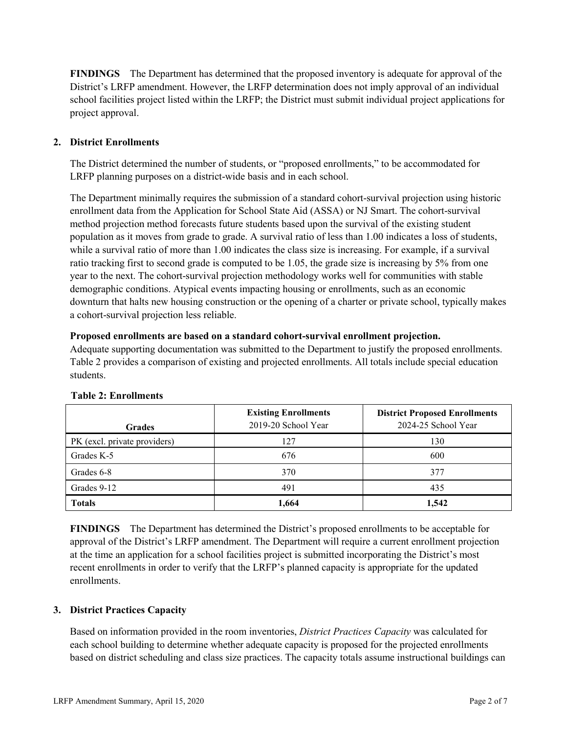**FINDINGS** The Department has determined that the proposed inventory is adequate for approval of the District's LRFP amendment. However, the LRFP determination does not imply approval of an individual school facilities project listed within the LRFP; the District must submit individual project applications for project approval.

## **2. District Enrollments**

The District determined the number of students, or "proposed enrollments," to be accommodated for LRFP planning purposes on a district-wide basis and in each school.

The Department minimally requires the submission of a standard cohort-survival projection using historic enrollment data from the Application for School State Aid (ASSA) or NJ Smart. The cohort-survival method projection method forecasts future students based upon the survival of the existing student population as it moves from grade to grade. A survival ratio of less than 1.00 indicates a loss of students, while a survival ratio of more than 1.00 indicates the class size is increasing. For example, if a survival ratio tracking first to second grade is computed to be 1.05, the grade size is increasing by 5% from one year to the next. The cohort-survival projection methodology works well for communities with stable demographic conditions. Atypical events impacting housing or enrollments, such as an economic downturn that halts new housing construction or the opening of a charter or private school, typically makes a cohort-survival projection less reliable.

#### **Proposed enrollments are based on a standard cohort-survival enrollment projection.**

Adequate supporting documentation was submitted to the Department to justify the proposed enrollments. Table 2 provides a comparison of existing and projected enrollments. All totals include special education students.

| <b>Grades</b>                | <b>Existing Enrollments</b><br>2019-20 School Year | <b>District Proposed Enrollments</b><br>2024-25 School Year |
|------------------------------|----------------------------------------------------|-------------------------------------------------------------|
| PK (excl. private providers) | 127                                                | 130                                                         |
| Grades K-5                   | 676                                                | 600                                                         |
| Grades 6-8                   | 370                                                | 377                                                         |
| Grades 9-12                  | 491                                                | 435                                                         |
| <b>Totals</b>                | 1,664                                              | 1,542                                                       |

## **Table 2: Enrollments**

**FINDINGS** The Department has determined the District's proposed enrollments to be acceptable for approval of the District's LRFP amendment. The Department will require a current enrollment projection at the time an application for a school facilities project is submitted incorporating the District's most recent enrollments in order to verify that the LRFP's planned capacity is appropriate for the updated enrollments.

## **3. District Practices Capacity**

Based on information provided in the room inventories, *District Practices Capacity* was calculated for each school building to determine whether adequate capacity is proposed for the projected enrollments based on district scheduling and class size practices. The capacity totals assume instructional buildings can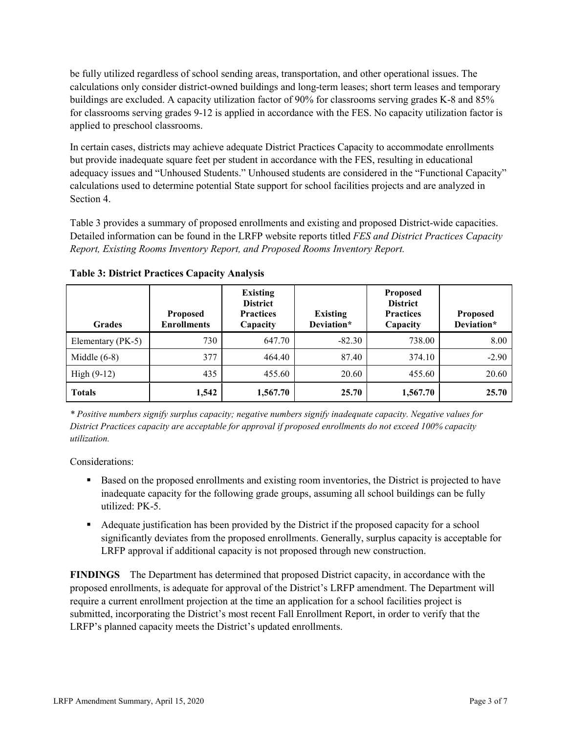be fully utilized regardless of school sending areas, transportation, and other operational issues. The calculations only consider district-owned buildings and long-term leases; short term leases and temporary buildings are excluded. A capacity utilization factor of 90% for classrooms serving grades K-8 and 85% for classrooms serving grades 9-12 is applied in accordance with the FES. No capacity utilization factor is applied to preschool classrooms.

In certain cases, districts may achieve adequate District Practices Capacity to accommodate enrollments but provide inadequate square feet per student in accordance with the FES, resulting in educational adequacy issues and "Unhoused Students." Unhoused students are considered in the "Functional Capacity" calculations used to determine potential State support for school facilities projects and are analyzed in Section 4.

Table 3 provides a summary of proposed enrollments and existing and proposed District-wide capacities. Detailed information can be found in the LRFP website reports titled *FES and District Practices Capacity Report, Existing Rooms Inventory Report, and Proposed Rooms Inventory Report.*

| <b>Grades</b>     | <b>Proposed</b><br><b>Enrollments</b> | <b>Existing</b><br><b>District</b><br><b>Practices</b><br>Capacity | <b>Existing</b><br>Deviation* | <b>Proposed</b><br><b>District</b><br><b>Practices</b><br>Capacity | <b>Proposed</b><br>Deviation* |
|-------------------|---------------------------------------|--------------------------------------------------------------------|-------------------------------|--------------------------------------------------------------------|-------------------------------|
| Elementary (PK-5) | 730                                   | 647.70                                                             | $-82.30$                      | 738.00                                                             | 8.00                          |
| Middle $(6-8)$    | 377                                   | 464.40                                                             | 87.40                         | 374.10                                                             | $-2.90$                       |
| High $(9-12)$     | 435                                   | 455.60                                                             | 20.60                         | 455.60                                                             | 20.60                         |
| <b>Totals</b>     | 1,542                                 | 1,567.70                                                           | 25.70                         | 1,567.70                                                           | 25.70                         |

**Table 3: District Practices Capacity Analysis**

*\* Positive numbers signify surplus capacity; negative numbers signify inadequate capacity. Negative values for District Practices capacity are acceptable for approval if proposed enrollments do not exceed 100% capacity utilization.*

Considerations:

- **Based on the proposed enrollments and existing room inventories, the District is projected to have** inadequate capacity for the following grade groups, assuming all school buildings can be fully utilized: PK-5.
- Adequate justification has been provided by the District if the proposed capacity for a school significantly deviates from the proposed enrollments. Generally, surplus capacity is acceptable for LRFP approval if additional capacity is not proposed through new construction.

**FINDINGS**The Department has determined that proposed District capacity, in accordance with the proposed enrollments, is adequate for approval of the District's LRFP amendment. The Department will require a current enrollment projection at the time an application for a school facilities project is submitted, incorporating the District's most recent Fall Enrollment Report, in order to verify that the LRFP's planned capacity meets the District's updated enrollments.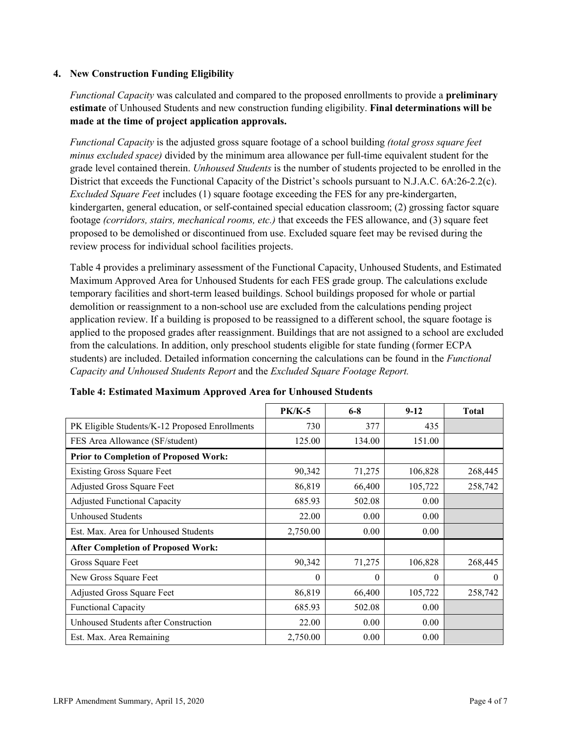#### **4. New Construction Funding Eligibility**

*Functional Capacity* was calculated and compared to the proposed enrollments to provide a **preliminary estimate** of Unhoused Students and new construction funding eligibility. **Final determinations will be made at the time of project application approvals.**

*Functional Capacity* is the adjusted gross square footage of a school building *(total gross square feet minus excluded space)* divided by the minimum area allowance per full-time equivalent student for the grade level contained therein. *Unhoused Students* is the number of students projected to be enrolled in the District that exceeds the Functional Capacity of the District's schools pursuant to N.J.A.C. 6A:26-2.2(c). *Excluded Square Feet* includes (1) square footage exceeding the FES for any pre-kindergarten, kindergarten, general education, or self-contained special education classroom; (2) grossing factor square footage *(corridors, stairs, mechanical rooms, etc.)* that exceeds the FES allowance, and (3) square feet proposed to be demolished or discontinued from use. Excluded square feet may be revised during the review process for individual school facilities projects.

Table 4 provides a preliminary assessment of the Functional Capacity, Unhoused Students, and Estimated Maximum Approved Area for Unhoused Students for each FES grade group. The calculations exclude temporary facilities and short-term leased buildings. School buildings proposed for whole or partial demolition or reassignment to a non-school use are excluded from the calculations pending project application review. If a building is proposed to be reassigned to a different school, the square footage is applied to the proposed grades after reassignment. Buildings that are not assigned to a school are excluded from the calculations. In addition, only preschool students eligible for state funding (former ECPA students) are included. Detailed information concerning the calculations can be found in the *Functional Capacity and Unhoused Students Report* and the *Excluded Square Footage Report.*

|                                                | <b>PK/K-5</b> | $6 - 8$  | $9 - 12$ | <b>Total</b> |
|------------------------------------------------|---------------|----------|----------|--------------|
| PK Eligible Students/K-12 Proposed Enrollments | 730           | 377      | 435      |              |
| FES Area Allowance (SF/student)                | 125.00        | 134.00   | 151.00   |              |
| <b>Prior to Completion of Proposed Work:</b>   |               |          |          |              |
| <b>Existing Gross Square Feet</b>              | 90,342        | 71,275   | 106,828  | 268,445      |
| Adjusted Gross Square Feet                     | 86,819        | 66,400   | 105,722  | 258,742      |
| <b>Adjusted Functional Capacity</b>            | 685.93        | 502.08   | 0.00     |              |
| Unhoused Students                              | 22.00         | 0.00     | 0.00     |              |
| Est. Max. Area for Unhoused Students           | 2,750.00      | 0.00     | 0.00     |              |
| <b>After Completion of Proposed Work:</b>      |               |          |          |              |
| Gross Square Feet                              | 90,342        | 71,275   | 106,828  | 268,445      |
| New Gross Square Feet                          | $\theta$      | $\theta$ | $\theta$ | $\theta$     |
| Adjusted Gross Square Feet                     | 86,819        | 66,400   | 105,722  | 258,742      |
| <b>Functional Capacity</b>                     | 685.93        | 502.08   | 0.00     |              |
| Unhoused Students after Construction           | 22.00         | 0.00     | 0.00     |              |
| Est. Max. Area Remaining                       | 2,750.00      | 0.00     | 0.00     |              |

#### **Table 4: Estimated Maximum Approved Area for Unhoused Students**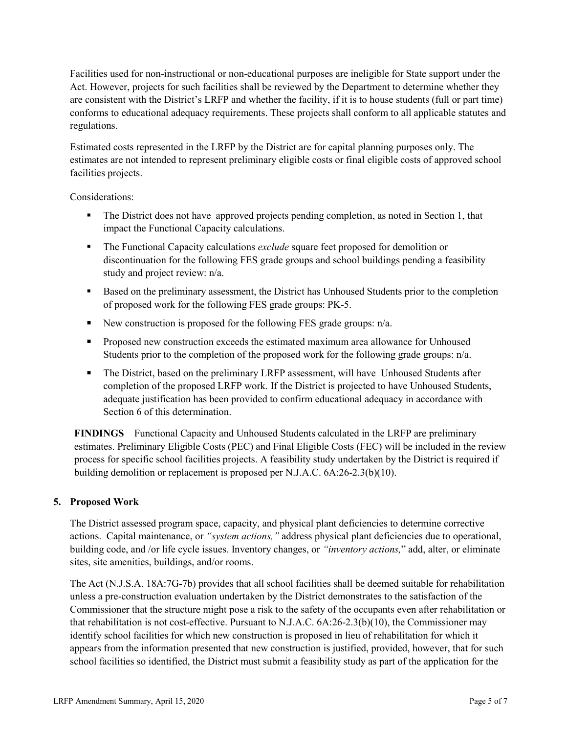Facilities used for non-instructional or non-educational purposes are ineligible for State support under the Act. However, projects for such facilities shall be reviewed by the Department to determine whether they are consistent with the District's LRFP and whether the facility, if it is to house students (full or part time) conforms to educational adequacy requirements. These projects shall conform to all applicable statutes and regulations.

Estimated costs represented in the LRFP by the District are for capital planning purposes only. The estimates are not intended to represent preliminary eligible costs or final eligible costs of approved school facilities projects.

Considerations:

- The District does not have approved projects pending completion, as noted in Section 1, that impact the Functional Capacity calculations.
- The Functional Capacity calculations *exclude* square feet proposed for demolition or discontinuation for the following FES grade groups and school buildings pending a feasibility study and project review: n/a.
- Based on the preliminary assessment, the District has Unhoused Students prior to the completion of proposed work for the following FES grade groups: PK-5.
- New construction is proposed for the following FES grade groups:  $n/a$ .
- **Proposed new construction exceeds the estimated maximum area allowance for Unhoused** Students prior to the completion of the proposed work for the following grade groups:  $n/a$ .
- The District, based on the preliminary LRFP assessment, will have Unhoused Students after completion of the proposed LRFP work. If the District is projected to have Unhoused Students, adequate justification has been provided to confirm educational adequacy in accordance with Section 6 of this determination.

**FINDINGS** Functional Capacity and Unhoused Students calculated in the LRFP are preliminary estimates. Preliminary Eligible Costs (PEC) and Final Eligible Costs (FEC) will be included in the review process for specific school facilities projects. A feasibility study undertaken by the District is required if building demolition or replacement is proposed per N.J.A.C. 6A:26-2.3(b)(10).

## **5. Proposed Work**

The District assessed program space, capacity, and physical plant deficiencies to determine corrective actions. Capital maintenance, or *"system actions,"* address physical plant deficiencies due to operational, building code, and /or life cycle issues. Inventory changes, or *"inventory actions,*" add, alter, or eliminate sites, site amenities, buildings, and/or rooms.

The Act (N.J.S.A. 18A:7G-7b) provides that all school facilities shall be deemed suitable for rehabilitation unless a pre-construction evaluation undertaken by the District demonstrates to the satisfaction of the Commissioner that the structure might pose a risk to the safety of the occupants even after rehabilitation or that rehabilitation is not cost-effective. Pursuant to N.J.A.C. 6A:26-2.3(b)(10), the Commissioner may identify school facilities for which new construction is proposed in lieu of rehabilitation for which it appears from the information presented that new construction is justified, provided, however, that for such school facilities so identified, the District must submit a feasibility study as part of the application for the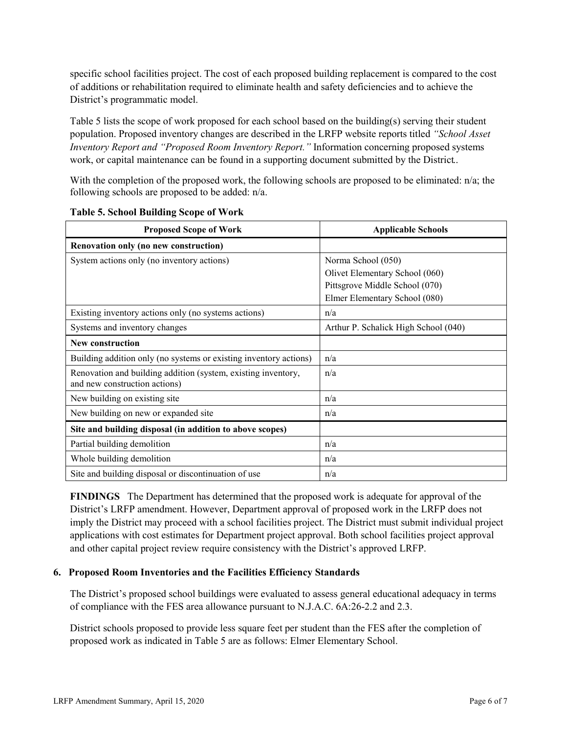specific school facilities project. The cost of each proposed building replacement is compared to the cost of additions or rehabilitation required to eliminate health and safety deficiencies and to achieve the District's programmatic model.

Table 5 lists the scope of work proposed for each school based on the building(s) serving their student population. Proposed inventory changes are described in the LRFP website reports titled *"School Asset Inventory Report and "Proposed Room Inventory Report."* Information concerning proposed systems work, or capital maintenance can be found in a supporting document submitted by the District..

With the completion of the proposed work, the following schools are proposed to be eliminated: n/a; the following schools are proposed to be added: n/a.

| <b>Proposed Scope of Work</b>                                                                  | <b>Applicable Schools</b>            |
|------------------------------------------------------------------------------------------------|--------------------------------------|
| Renovation only (no new construction)                                                          |                                      |
| System actions only (no inventory actions)                                                     | Norma School (050)                   |
|                                                                                                | Olivet Elementary School (060)       |
|                                                                                                | Pittsgrove Middle School (070)       |
|                                                                                                | Elmer Elementary School (080)        |
| Existing inventory actions only (no systems actions)                                           | n/a                                  |
| Systems and inventory changes                                                                  | Arthur P. Schalick High School (040) |
| <b>New construction</b>                                                                        |                                      |
| Building addition only (no systems or existing inventory actions)                              | n/a                                  |
| Renovation and building addition (system, existing inventory,<br>and new construction actions) | n/a                                  |
| New building on existing site                                                                  | n/a                                  |
| New building on new or expanded site                                                           | n/a                                  |
| Site and building disposal (in addition to above scopes)                                       |                                      |
| Partial building demolition                                                                    | n/a                                  |
| Whole building demolition                                                                      | n/a                                  |
| Site and building disposal or discontinuation of use                                           | n/a                                  |

**Table 5. School Building Scope of Work**

**FINDINGS** The Department has determined that the proposed work is adequate for approval of the District's LRFP amendment. However, Department approval of proposed work in the LRFP does not imply the District may proceed with a school facilities project. The District must submit individual project applications with cost estimates for Department project approval. Both school facilities project approval and other capital project review require consistency with the District's approved LRFP.

#### **6. Proposed Room Inventories and the Facilities Efficiency Standards**

The District's proposed school buildings were evaluated to assess general educational adequacy in terms of compliance with the FES area allowance pursuant to N.J.A.C. 6A:26-2.2 and 2.3.

District schools proposed to provide less square feet per student than the FES after the completion of proposed work as indicated in Table 5 are as follows: Elmer Elementary School.